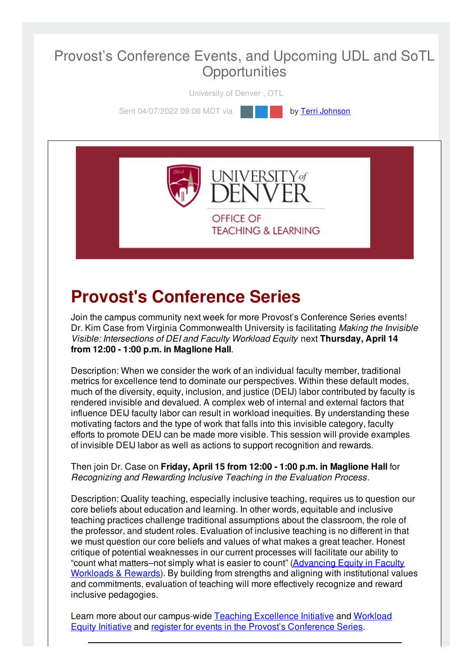#### Provost's Conference Events, and Upcoming UDL and SoTL **Opportunities**

University of Denver , OTL

Sent 04/07/2022 09:06 MDT via **by Terri [Johnson](file:///networks/du/users/1149646)** 



**TEACHING & LEARNING** 

# **Provost's Conference Series**

Join the campus community next week for more Provost's Conference Series events! Dr. Kim Case from Virginia Commonwealth University is facilitating *Making the Invisible Visible: Intersections of DEI and Faculty Workload Equity* next **Thursday, April 14 from 12:00 - 1:00 p.m. in Maglione Hall**.

Description: When we consider the work of an individual faculty member, traditional metrics for excellence tend to dominate our perspectives. Within these default modes, much of the diversity, equity, inclusion, and justice (DEIJ) labor contributed by faculty is rendered invisible and devalued. A complex web of internal and external factors that influence DEIJ faculty labor can result in workload inequities. By understanding these motivating factors and the type of work that falls into this invisible category, faculty efforts to promote DEIJ can be made more visible. This session will provide examples of invisible DEIJ labor as well as actions to support recognition and rewards.

Then join Dr. Case on **Friday, April 15 from 12:00 - 1:00 p.m. in Maglione Hall** for *Recognizing and Rewarding Inclusive Teaching in the Evaluation Process*.

Description: Quality teaching, especially inclusive teaching, requires us to question our core beliefs about education and learning. In other words, equitable and inclusive teaching practices challenge traditional assumptions about the classroom, the role of the professor, and student roles. Evaluation of inclusive teaching is no different in that we must question our core beliefs and values of what makes a great teacher. Honest critique of potential weaknesses in our current processes will facilitate our ability to "count what [matters–not](https://duvpfa.du.edu/advancing-equity/) simply what is easier to count" (Advancing Equity in Faculty Workloads & Rewards). By building from strengths and aligning with institutional values and commitments, evaluation of teaching will more effectively recognize and reward inclusive pedagogies.

Learn more about our [campus-wide](https://duvpfa.du.edu/advancing-equity/workload-equity/) Teaching [Excellence](https://duvpfa.du.edu/advancing-equity/teaching-excellence/) Initiative and Workload Equity Initiative and register for events in the Provost's [Conference](https://duvpfa.du.edu/r1-our-way/provosts-conference-series-2022/) Series.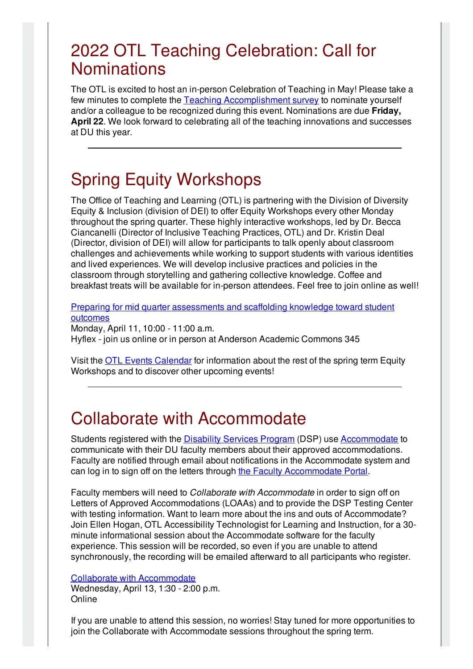### 2022 OTL Teaching Celebration: Call for **Nominations**

The OTL is excited to host an in-person Celebration of Teaching in May! Please take a few minutes to complete the Teaching [Accomplishment](https://udenver.qualtrics.com/jfe/form/SV_5vVYJLMBIy9FppI) survey to nominate yourself and/or a colleague to be recognized during this event. Nominations are due **Friday, April 22**. We look forward to celebrating all of the teaching innovations and successes at DU this year.

## Spring Equity Workshops

The Office of Teaching and Learning (OTL) is partnering with the Division of Diversity Equity & Inclusion (division of DEI) to offer Equity Workshops every other Monday throughout the spring quarter. These highly interactive workshops, led by Dr. Becca Ciancanelli (Director of Inclusive Teaching Practices, OTL) and Dr. Kristin Deal (Director, division of DEI) will allow for participants to talk openly about classroom challenges and achievements while working to support students with various identities and lived experiences. We will develop inclusive practices and policies in the classroom through storytelling and gathering collective knowledge. Coffee and breakfast treats will be available for in-person attendees. Feel free to join online as well!

Preparing for mid quarter [assessments](https://otl-events.du.edu/public/registration/5819) and scaffolding knowledge toward student outcomes

Monday, April 11, 10:00 - 11:00 a.m. Hyflex - join us online or in person at Anderson Academic Commons 345

Visit the OTL Events [Calendar](https://otl-events.du.edu/public/calendar) for information about the rest of the spring term Equity Workshops and to discover other upcoming events!

### Collaborate with Accommodate

Students registered with the [Disability](https://studentaffairs.du.edu/disability-services-program/dsp-faculty-staff) Services Program (DSP) use [Accommodate](https://du-accommodate.symplicity.com/) to communicate with their DU faculty members about their approved accommodations. Faculty are notified through email about notifications in the Accommodate system and can log in to sign off on the letters through the Faculty [Accommodate](https://du-accommodate.symplicity.com/) Portal.

Faculty members will need to *Collaborate with Accommodate* in order to sign off on Letters of Approved Accommodations (LOAAs) and to provide the DSP Testing Center with testing information. Want to learn more about the ins and outs of Accommodate? Join Ellen Hogan, OTL Accessibility Technologist for Learning and Instruction, for a 30 minute informational session about the Accommodate software for the faculty experience. This session will be recorded, so even if you are unable to attend synchronously, the recording will be emailed afterward to all participants who register.

#### Collaborate with [Accommodate](https://otl-events.du.edu/public/registration/5894)

Wednesday, April 13, 1:30 - 2:00 p.m. **Online** 

If you are unable to attend this session, no worries! Stay tuned for more opportunities to join the Collaborate with Accommodate sessions throughout the spring term.